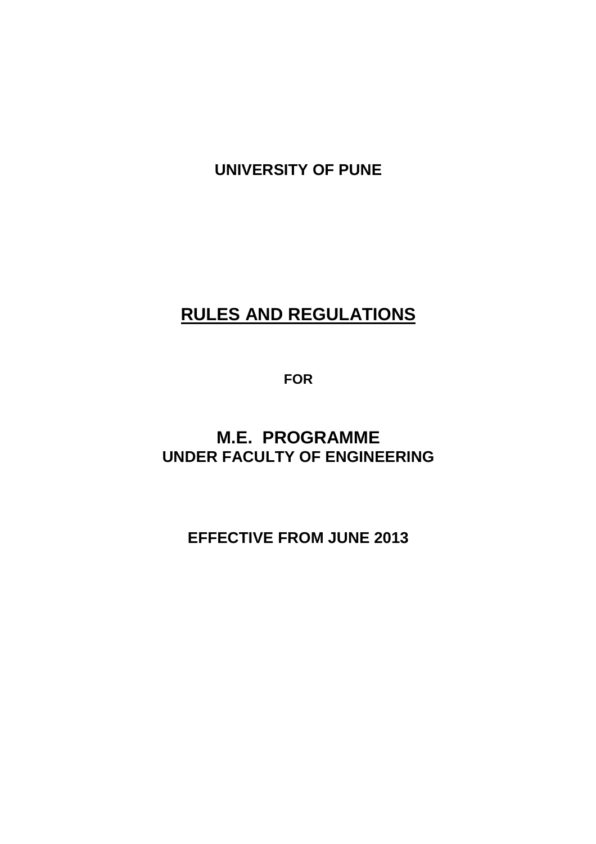**UNIVERSITY OF PUNE** 

# **RULES AND REGULATIONS**

**FOR** 

# **M.E. PROGRAMME UNDER FACULTY OF ENGINEERING**

**EFFECTIVE FROM JUNE 2013**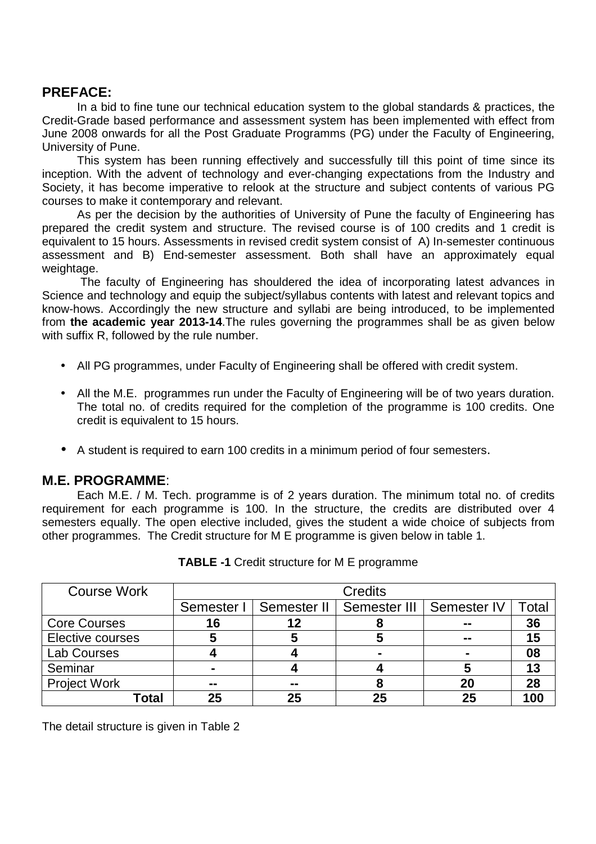# **PREFACE:**

In a bid to fine tune our technical education system to the global standards & practices, the Credit-Grade based performance and assessment system has been implemented with effect from June 2008 onwards for all the Post Graduate Programms (PG) under the Faculty of Engineering, University of Pune.

This system has been running effectively and successfully till this point of time since its inception. With the advent of technology and ever-changing expectations from the Industry and Society, it has become imperative to relook at the structure and subject contents of various PG courses to make it contemporary and relevant.

As per the decision by the authorities of University of Pune the faculty of Engineering has prepared the credit system and structure. The revised course is of 100 credits and 1 credit is equivalent to 15 hours. Assessments in revised credit system consist of A) In-semester continuous assessment and B) End-semester assessment. Both shall have an approximately equal weightage.

 The faculty of Engineering has shouldered the idea of incorporating latest advances in Science and technology and equip the subject/syllabus contents with latest and relevant topics and know-hows. Accordingly the new structure and syllabi are being introduced, to be implemented from **the academic year 2013-14**.The rules governing the programmes shall be as given below with suffix R, followed by the rule number.

- All PG programmes, under Faculty of Engineering shall be offered with credit system.
- All the M.E. programmes run under the Faculty of Engineering will be of two years duration. The total no. of credits required for the completion of the programme is 100 credits. One credit is equivalent to 15 hours.
- A student is required to earn 100 credits in a minimum period of four semesters.

# **M.E. PROGRAMME**:

 Each M.E. / M. Tech. programme is of 2 years duration. The minimum total no. of credits requirement for each programme is 100. In the structure, the credits are distributed over 4 semesters equally. The open elective included, gives the student a wide choice of subjects from other programmes. The Credit structure for M E programme is given below in table 1.

| <b>Course Work</b>  | <b>Credits</b> |               |              |             |       |  |
|---------------------|----------------|---------------|--------------|-------------|-------|--|
|                     | Semester I     | Semester II   | Semester III | Semester IV | Total |  |
| <b>Core Courses</b> | 16             | 12            |              | --          | 36    |  |
| Elective courses    |                | Э             |              | --          | 15    |  |
| <b>Lab Courses</b>  |                |               |              |             | 08    |  |
| Seminar             |                |               |              | 5           | 13    |  |
| <b>Project Work</b> | $\sim$ $\sim$  | $\sim$ $\sim$ |              | 20          | 28    |  |
| Total               | 25             | 25            | 25           | 25          | 100   |  |

**TABLE -1** Credit structure for M E programme

The detail structure is given in Table 2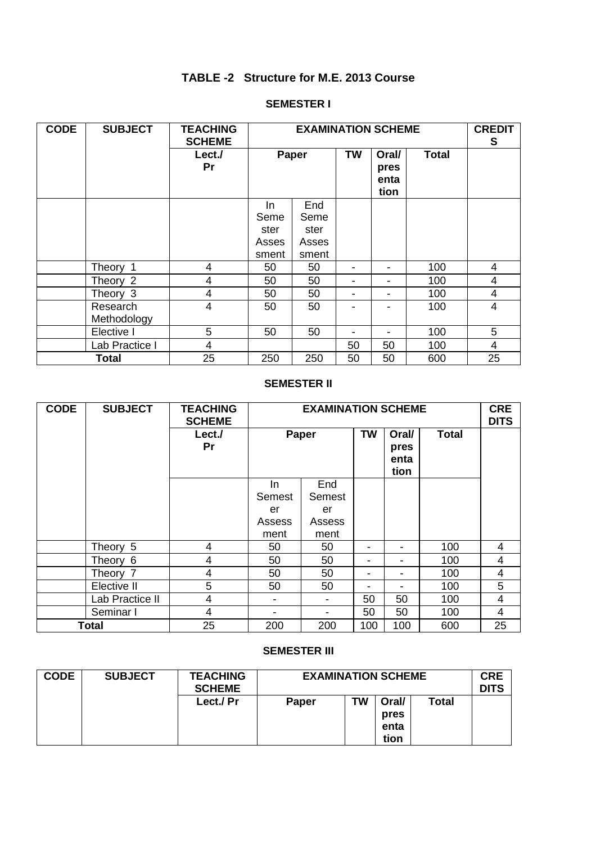# **TABLE -2 Structure for M.E. 2013 Course**

### **SEMESTER I**

| <b>CODE</b> | <b>SUBJECT</b>          | <b>TEACHING</b><br><b>SCHEME</b> |                                       | <b>EXAMINATION SCHEME</b>             |                          |                               |              | <b>CREDIT</b><br>S |
|-------------|-------------------------|----------------------------------|---------------------------------------|---------------------------------------|--------------------------|-------------------------------|--------------|--------------------|
|             |                         | Lect./<br>Pr                     | Paper                                 |                                       | <b>TW</b>                | Oral/<br>pres<br>enta<br>tion | <b>Total</b> |                    |
|             |                         |                                  | In.<br>Seme<br>ster<br>Asses<br>sment | End<br>Seme<br>ster<br>Asses<br>sment |                          |                               |              |                    |
|             | Theory 1                | 4                                | 50                                    | 50                                    | $\overline{\phantom{0}}$ | $\overline{\phantom{0}}$      | 100          | 4                  |
|             | Theory 2                | 4                                | 50                                    | 50                                    | -                        | $\blacksquare$                | 100          | 4                  |
|             | Theory 3                | 4                                | 50                                    | 50                                    | $\overline{\phantom{0}}$ |                               | 100          | 4                  |
|             | Research<br>Methodology | 4                                | 50                                    | 50                                    |                          |                               | 100          | 4                  |
|             | Elective I              | 5                                | 50                                    | 50                                    | $\blacksquare$           |                               | 100          | 5                  |
|             | Lab Practice I          | $\overline{4}$                   |                                       |                                       | 50                       | 50                            | 100          | 4                  |
|             | <b>Total</b>            | 25                               | 250                                   | 250                                   | 50                       | 50                            | 600          | 25                 |

### **SEMESTER II**

| <b>CODE</b> | <b>SUBJECT</b>  | <b>TEACHING</b><br><b>SCHEME</b> |                    | <b>EXAMINATION SCHEME</b> |                          |                               |              | <b>CRE</b><br><b>DITS</b> |
|-------------|-----------------|----------------------------------|--------------------|---------------------------|--------------------------|-------------------------------|--------------|---------------------------|
|             |                 | Lect./<br>Pr                     | Paper              |                           | <b>TW</b>                | Oral/<br>pres<br>enta<br>tion | <b>Total</b> |                           |
|             |                 |                                  | In<br>Semest<br>er | End<br>Semest<br>er       |                          |                               |              |                           |
|             |                 |                                  | Assess<br>ment     | Assess<br>ment            |                          |                               |              |                           |
|             | Theory 5        | 4                                | 50                 | 50                        |                          | $\blacksquare$                | 100          | 4                         |
|             | Theory 6        | 4                                | 50                 | 50                        | $\overline{\phantom{a}}$ |                               | 100          | 4                         |
|             | Theory 7        | $\overline{4}$                   | 50                 | 50                        | $\overline{\phantom{a}}$ | $\overline{\phantom{a}}$      | 100          | 4                         |
|             | Elective II     | 5                                | 50                 | 50                        | $\blacksquare$           |                               | 100          | 5                         |
|             | Lab Practice II | $\overline{4}$                   |                    |                           | 50                       | 50                            | 100          | 4                         |
|             | Seminar I       | $\overline{4}$                   |                    |                           | 50                       | 50                            | 100          | 4                         |
|             | <b>Total</b>    | 25                               | 200                | 200                       | 100                      | 100                           | 600          | 25                        |

#### **SEMESTER III**

| <b>CODE</b> | <b>SUBJECT</b> | <b>TEACHING</b><br><b>SCHEME</b> | <b>EXAMINATION SCHEME</b> |    |       | <b>CRE</b><br><b>DITS</b> |  |
|-------------|----------------|----------------------------------|---------------------------|----|-------|---------------------------|--|
|             |                | Lect./ Pr                        | <b>Paper</b>              | TW | Oral/ | Total                     |  |
|             |                |                                  |                           |    | pres  |                           |  |
|             |                |                                  |                           |    | enta  |                           |  |
|             |                |                                  |                           |    | tion  |                           |  |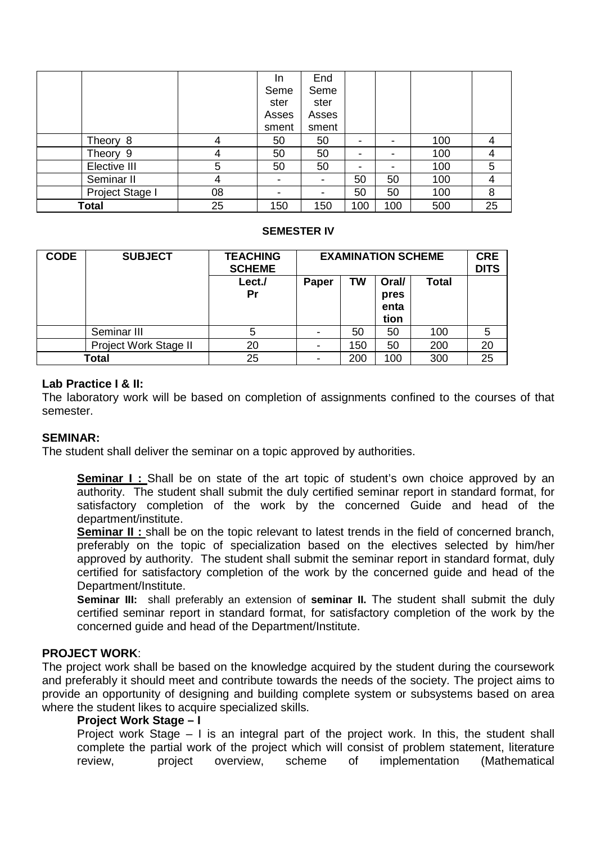|                 |    | In.                      | End            |     |     |     |    |
|-----------------|----|--------------------------|----------------|-----|-----|-----|----|
|                 |    | Seme                     | Seme           |     |     |     |    |
|                 |    | ster                     | ster           |     |     |     |    |
|                 |    | Asses                    | Asses          |     |     |     |    |
|                 |    | sment                    | sment          |     |     |     |    |
| Theory 8        | 4  | 50                       | 50             |     |     | 100 | 4  |
| Theory 9        | 4  | 50                       | 50             |     |     | 100 | 4  |
| Elective III    | 5  | 50                       | 50             |     |     | 100 | 5  |
| Seminar II      | 4  | $\overline{\phantom{a}}$ | $\blacksquare$ | 50  | 50  | 100 | 4  |
| Project Stage I | 08 |                          |                | 50  | 50  | 100 | 8  |
| Total           | 25 | 150                      | 150            | 100 | 100 | 500 | 25 |

#### **SEMESTER IV**

| <b>CODE</b> | <b>SUBJECT</b>        | <b>TEACHING</b><br><b>SCHEME</b> | <b>EXAMINATION SCHEME</b> | <b>CRE</b><br><b>DITS</b> |                               |              |    |
|-------------|-----------------------|----------------------------------|---------------------------|---------------------------|-------------------------------|--------------|----|
|             |                       | Lect./<br>Pr                     | Paper                     | <b>TW</b>                 | Oral/<br>pres<br>enta<br>tion | <b>Total</b> |    |
|             | Seminar III           | 5                                |                           | 50                        | 50                            | 100          | 5  |
|             | Project Work Stage II | 20                               |                           | 150                       | 50                            | 200          | 20 |
|             | Total                 | 25                               |                           | 200                       | 100                           | 300          | 25 |

### **Lab Practice I & II:**

The laboratory work will be based on completion of assignments confined to the courses of that semester.

### **SEMINAR:**

The student shall deliver the seminar on a topic approved by authorities.

**Seminar I :** Shall be on state of the art topic of student's own choice approved by an authority. The student shall submit the duly certified seminar report in standard format, for satisfactory completion of the work by the concerned Guide and head of the department/institute.

**Seminar II:** shall be on the topic relevant to latest trends in the field of concerned branch, preferably on the topic of specialization based on the electives selected by him/her approved by authority. The student shall submit the seminar report in standard format, duly certified for satisfactory completion of the work by the concerned guide and head of the Department/Institute.

**Seminar III:** shall preferably an extension of **seminar II.** The student shall submit the duly certified seminar report in standard format, for satisfactory completion of the work by the concerned guide and head of the Department/Institute.

### **PROJECT WORK**:

The project work shall be based on the knowledge acquired by the student during the coursework and preferably it should meet and contribute towards the needs of the society. The project aims to provide an opportunity of designing and building complete system or subsystems based on area where the student likes to acquire specialized skills.

### **Project Work Stage – I**

Project work Stage – I is an integral part of the project work. In this, the student shall complete the partial work of the project which will consist of problem statement, literature review, project overview, scheme of implementation (Mathematical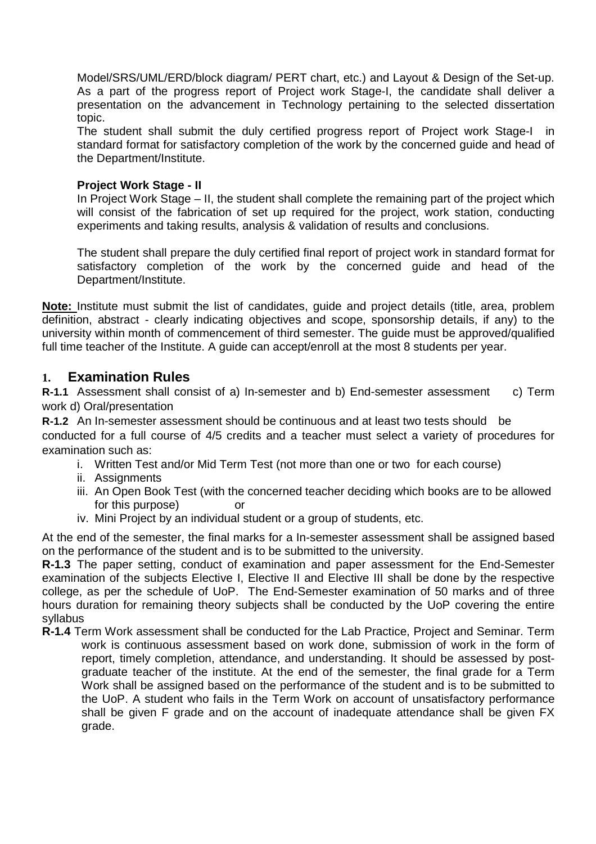Model/SRS/UML/ERD/block diagram/ PERT chart, etc.) and Layout & Design of the Set-up. As a part of the progress report of Project work Stage-I, the candidate shall deliver a presentation on the advancement in Technology pertaining to the selected dissertation topic.

The student shall submit the duly certified progress report of Project work Stage-I in standard format for satisfactory completion of the work by the concerned guide and head of the Department/Institute.

### **Project Work Stage - II**

In Project Work Stage – II, the student shall complete the remaining part of the project which will consist of the fabrication of set up required for the project, work station, conducting experiments and taking results, analysis & validation of results and conclusions.

The student shall prepare the duly certified final report of project work in standard format for satisfactory completion of the work by the concerned guide and head of the Department/Institute.

**Note:** Institute must submit the list of candidates, guide and project details (title, area, problem definition, abstract - clearly indicating objectives and scope, sponsorship details, if any) to the university within month of commencement of third semester. The guide must be approved/qualified full time teacher of the Institute. A quide can accept/enroll at the most 8 students per year.

# **1. Examination Rules**

**R-1.1** Assessment shall consist of a) In-semester and b) End-semester assessment c) Term work d) Oral/presentation

**R-1.2** An In-semester assessment should be continuous and at least two tests should be

conducted for a full course of 4/5 credits and a teacher must select a variety of procedures for examination such as:

- i. Written Test and/or Mid Term Test (not more than one or two for each course)
- ii. Assignments
- iii. An Open Book Test (with the concerned teacher deciding which books are to be allowed for this purpose) or
- iv. Mini Project by an individual student or a group of students, etc.

At the end of the semester, the final marks for a In-semester assessment shall be assigned based on the performance of the student and is to be submitted to the university.

**R-1.3** The paper setting, conduct of examination and paper assessment for the End-Semester examination of the subjects Elective I, Elective II and Elective III shall be done by the respective college, as per the schedule of UoP. The End-Semester examination of 50 marks and of three hours duration for remaining theory subjects shall be conducted by the UoP covering the entire syllabus

**R-1.4** Term Work assessment shall be conducted for the Lab Practice, Project and Seminar. Term work is continuous assessment based on work done, submission of work in the form of report, timely completion, attendance, and understanding. It should be assessed by postgraduate teacher of the institute. At the end of the semester, the final grade for a Term Work shall be assigned based on the performance of the student and is to be submitted to the UoP. A student who fails in the Term Work on account of unsatisfactory performance shall be given F grade and on the account of inadequate attendance shall be given FX grade.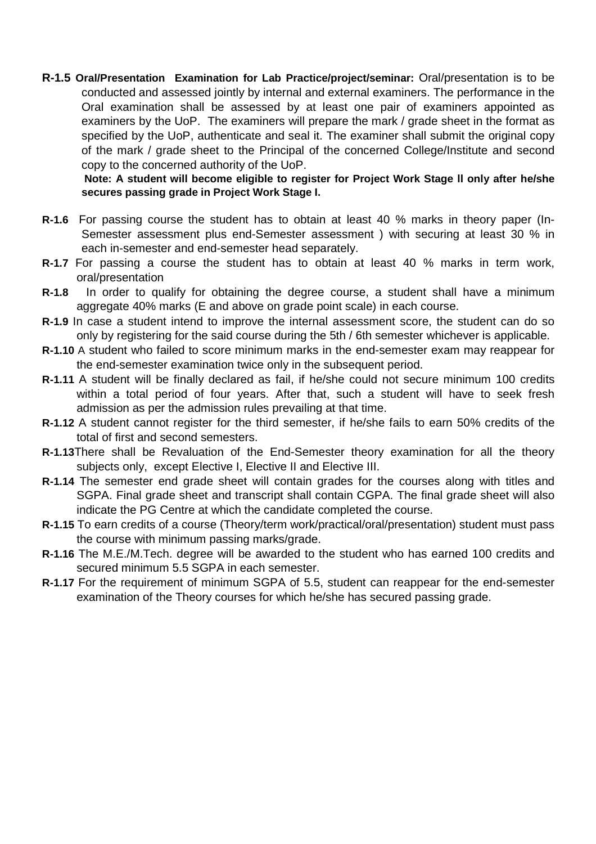**R-1.5 Oral/Presentation Examination for Lab Practice/project/seminar:** Oral/presentation is to be conducted and assessed jointly by internal and external examiners. The performance in the Oral examination shall be assessed by at least one pair of examiners appointed as examiners by the UoP. The examiners will prepare the mark / grade sheet in the format as specified by the UoP, authenticate and seal it. The examiner shall submit the original copy of the mark / grade sheet to the Principal of the concerned College/Institute and second copy to the concerned authority of the UoP.

 **Note: A student will become eligible to register for Project Work Stage ll only after he/she secures passing grade in Project Work Stage I.** 

- **R-1.6** For passing course the student has to obtain at least 40 % marks in theory paper (In-Semester assessment plus end-Semester assessment ) with securing at least 30 % in each in-semester and end-semester head separately.
- **R-1.7** For passing a course the student has to obtain at least 40 % marks in term work, oral/presentation
- **R-1.8** In order to qualify for obtaining the degree course, a student shall have a minimum aggregate 40% marks (E and above on grade point scale) in each course.
- **R-1.9** In case a student intend to improve the internal assessment score, the student can do so only by registering for the said course during the 5th / 6th semester whichever is applicable.
- **R-1.10** A student who failed to score minimum marks in the end-semester exam may reappear for the end-semester examination twice only in the subsequent period.
- **R-1.11** A student will be finally declared as fail, if he/she could not secure minimum 100 credits within a total period of four years. After that, such a student will have to seek fresh admission as per the admission rules prevailing at that time.
- **R-1.12** A student cannot register for the third semester, if he/she fails to earn 50% credits of the total of first and second semesters.
- **R-1.13**There shall be Revaluation of the End-Semester theory examination for all the theory subjects only, except Elective I, Elective II and Elective III.
- **R-1.14** The semester end grade sheet will contain grades for the courses along with titles and SGPA. Final grade sheet and transcript shall contain CGPA. The final grade sheet will also indicate the PG Centre at which the candidate completed the course.
- **R-1.15** To earn credits of a course (Theory/term work/practical/oral/presentation) student must pass the course with minimum passing marks/grade.
- **R-1.16** The M.E./M.Tech. degree will be awarded to the student who has earned 100 credits and secured minimum 5.5 SGPA in each semester.
- **R-1.17** For the requirement of minimum SGPA of 5.5, student can reappear for the end-semester examination of the Theory courses for which he/she has secured passing grade.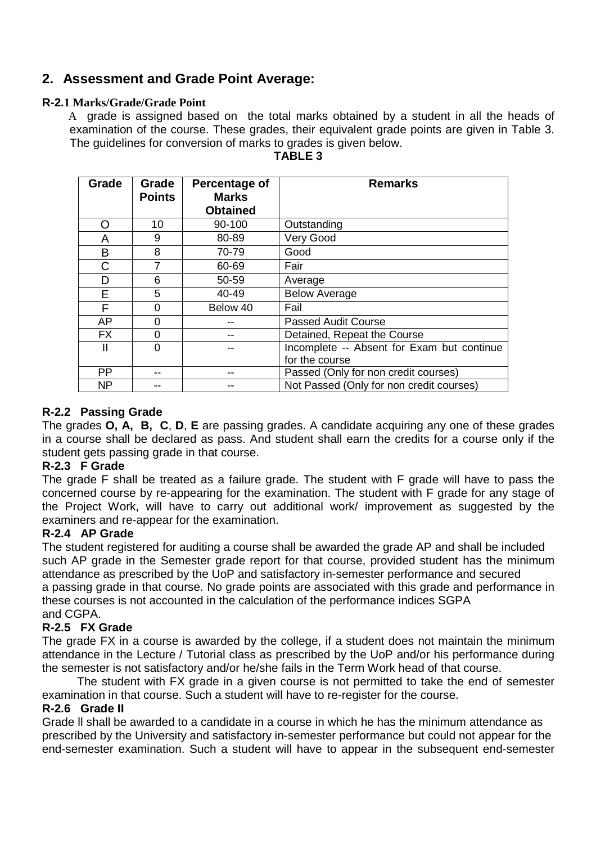# **2. Assessment and Grade Point Average:**

## **R-2.1 Marks/Grade/Grade Point**

 A grade is assigned based on the total marks obtained by a student in all the heads of examination of the course. These grades, their equivalent grade points are given in Table 3. The guidelines for conversion of marks to grades is given below.

| Grade     | Grade<br><b>Points</b> | Percentage of<br><b>Marks</b> | <b>Remarks</b>                             |
|-----------|------------------------|-------------------------------|--------------------------------------------|
|           |                        | <b>Obtained</b>               |                                            |
| O         | 10                     | 90-100                        | Outstanding                                |
| Α         | 9                      | 80-89                         | Very Good                                  |
| B         | 8                      | 70-79                         | Good                                       |
| С         | 7                      | 60-69                         | Fair                                       |
| D         | 6                      | 50-59                         | Average                                    |
| E         | 5                      | 40-49                         | <b>Below Average</b>                       |
| F         | 0                      | Below 40                      | Fail                                       |
| AP        | 0                      |                               | <b>Passed Audit Course</b>                 |
| <b>FX</b> | 0                      |                               | Detained, Repeat the Course                |
| Ш         | 0                      |                               | Incomplete -- Absent for Exam but continue |
|           |                        |                               | for the course                             |
| PP        |                        |                               | Passed (Only for non credit courses)       |
| <b>NP</b> |                        |                               | Not Passed (Only for non credit courses)   |

## **TABLE 3**

# **R-2.2 Passing Grade**

The grades **O, A, B, C**, **D**, **E** are passing grades. A candidate acquiring any one of these grades in a course shall be declared as pass. And student shall earn the credits for a course only if the student gets passing grade in that course.

## **R-2.3 F Grade**

The grade F shall be treated as a failure grade. The student with F grade will have to pass the concerned course by re-appearing for the examination. The student with F grade for any stage of the Project Work, will have to carry out additional work/ improvement as suggested by the examiners and re-appear for the examination.

## **R-2.4 AP Grade**

The student registered for auditing a course shall be awarded the grade AP and shall be included such AP grade in the Semester grade report for that course, provided student has the minimum attendance as prescribed by the UoP and satisfactory in-semester performance and secured a passing grade in that course. No grade points are associated with this grade and performance in these courses is not accounted in the calculation of the performance indices SGPA and CGPA.

## **R-2.5 FX Grade**

The grade FX in a course is awarded by the college, if a student does not maintain the minimum attendance in the Lecture / Tutorial class as prescribed by the UoP and/or his performance during the semester is not satisfactory and/or he/she fails in the Term Work head of that course.

 The student with FX grade in a given course is not permitted to take the end of semester examination in that course. Such a student will have to re-register for the course.

### **R-2.6 Grade II**

Grade ll shall be awarded to a candidate in a course in which he has the minimum attendance as prescribed by the University and satisfactory in-semester performance but could not appear for the end-semester examination. Such a student will have to appear in the subsequent end-semester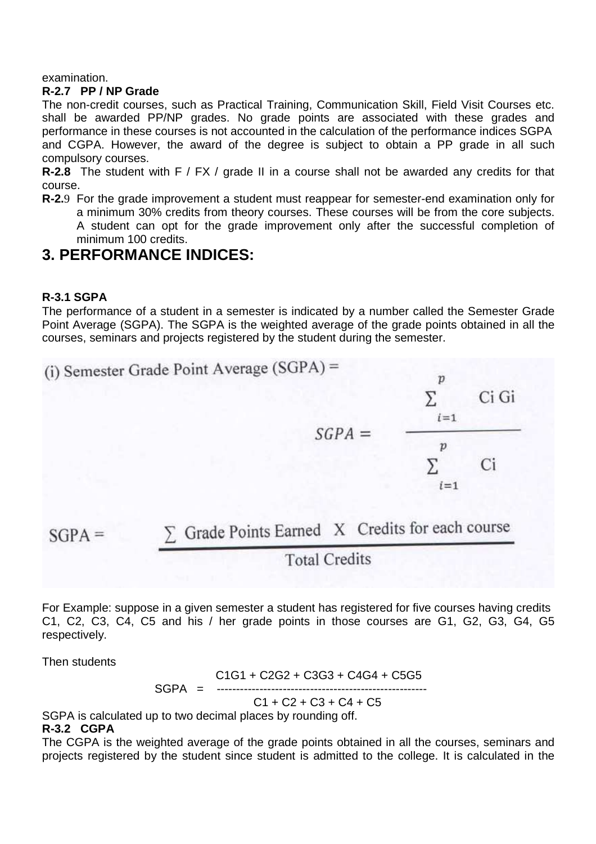examination.

### **R-2.7 PP / NP Grade**

The non-credit courses, such as Practical Training, Communication Skill, Field Visit Courses etc. shall be awarded PP/NP grades. No grade points are associated with these grades and performance in these courses is not accounted in the calculation of the performance indices SGPA and CGPA. However, the award of the degree is subject to obtain a PP grade in all such compulsory courses.

**R-2.8** The student with F / FX / grade II in a course shall not be awarded any credits for that course.

**R-2.**9 For the grade improvement a student must reappear for semester-end examination only for a minimum 30% credits from theory courses. These courses will be from the core subjects. A student can opt for the grade improvement only after the successful completion of minimum 100 credits.

# **3. PERFORMANCE INDICES:**

### **R-3.1 SGPA**

The performance of a student in a semester is indicated by a number called the Semester Grade Point Average (SGPA). The SGPA is the weighted average of the grade points obtained in all the courses, seminars and projects registered by the student during the semester.



**Total Credits** 

For Example: suppose in a given semester a student has registered for five courses having credits C1, C2, C3, C4, C5 and his / her grade points in those courses are G1, G2, G3, G4, G5 respectively.

Then students

 C1G1 + C2G2 + C3G3 + C4G4 + C5G5  $SGPA =$ 

 $C1 + C2 + C3 + C4 + C5$ 

SGPA is calculated up to two decimal places by rounding off. **R-3.2 CGPA** 

The CGPA is the weighted average of the grade points obtained in all the courses, seminars and projects registered by the student since student is admitted to the college. It is calculated in the